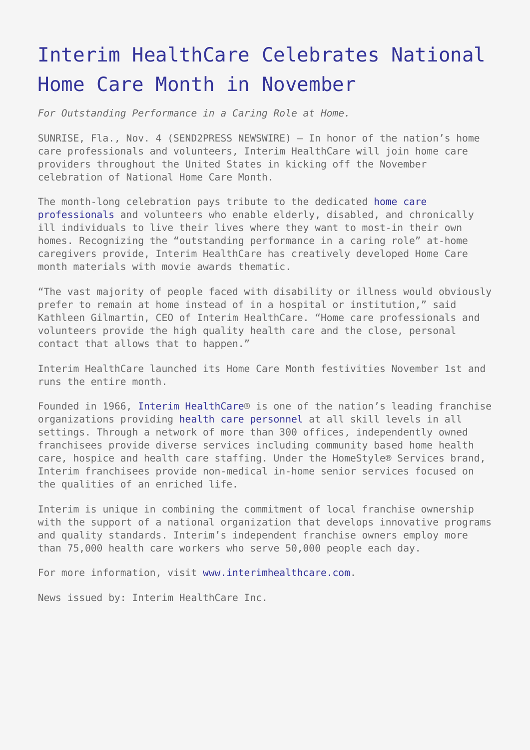## [Interim HealthCare Celebrates National](https://www.send2press.com/wire/2009-11-1104-003/) [Home Care Month in November](https://www.send2press.com/wire/2009-11-1104-003/)

*For Outstanding Performance in a Caring Role at Home.*

SUNRISE, Fla., Nov. 4 (SEND2PRESS NEWSWIRE) — In honor of the nation's home care professionals and volunteers, Interim HealthCare will join home care providers throughout the United States in kicking off the November celebration of National Home Care Month.

The month-long celebration pays tribute to the dedicated [home care](http://www.interimhealthcare.com/homecare/homecare/what-is-home-care.aspx) [professionals](http://www.interimhealthcare.com/homecare/homecare/what-is-home-care.aspx) and volunteers who enable elderly, disabled, and chronically ill individuals to live their lives where they want to most-in their own homes. Recognizing the "outstanding performance in a caring role" at-home caregivers provide, Interim HealthCare has creatively developed Home Care month materials with movie awards thematic.

"The vast majority of people faced with disability or illness would obviously prefer to remain at home instead of in a hospital or institution," said Kathleen Gilmartin, CEO of Interim HealthCare. "Home care professionals and volunteers provide the high quality health care and the close, personal contact that allows that to happen."

Interim HealthCare launched its Home Care Month festivities November 1st and runs the entire month.

Founded in 1966, [Interim HealthCare](http://www.interimhealthcare.com/about/)® is one of the nation's leading franchise organizations providing [health care personnel](http://www.interimhealthcare.com/staffing/) at all skill levels in all settings. Through a network of more than 300 offices, independently owned franchisees provide diverse services including community based home health care, hospice and health care staffing. Under the HomeStyle® Services brand, Interim franchisees provide non-medical in-home senior services focused on the qualities of an enriched life.

Interim is unique in combining the commitment of local franchise ownership with the support of a national organization that develops innovative programs and quality standards. Interim's independent franchise owners employ more than 75,000 health care workers who serve 50,000 people each day.

For more information, visit [www.interimhealthcare.com](http://www.interimhealthcare.com).

News issued by: Interim HealthCare Inc.